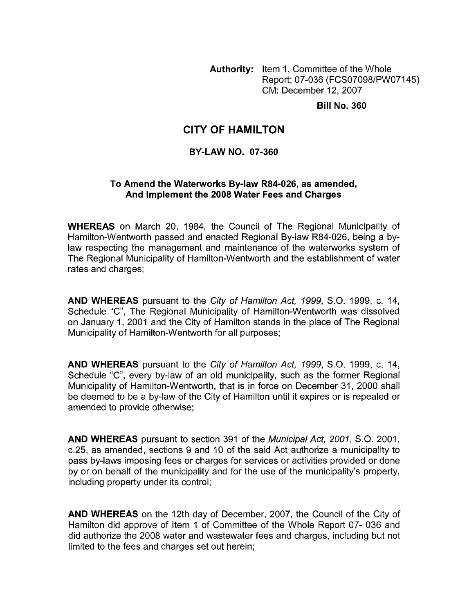**Authority:** Item 1, Committee of the Whole Report; 07-036 (FCS07098/PWO7145) CM: December 12,2007

**Bill No. 360** 

## **CITY OF HAMILTON**

#### **BY-LAW NO. 07-360**

#### To Amend the Waterworks By-law R84-026, as amended, **And Implement the 2008 Water Fees and Charges**

**WHEREAS** on March 20, 1984, the Council of The Regional Municipality of Hamilton-Wentworth passed and enacted Regional By-law R84-026, being a bylaw respecting the management and maintenance of the waterworks system of The Regional Municipality of Hamilton-Wentworth and the establishment of water rates and charges;

**AND WHEREAS** pursuant to the *City of Hamilton Act, 1999, S.O.* 1999, c. 14, Schedule "C", The Regional Municipality of Hamilton-Wentworth was dissolved on January 1, 2001 and the City of Hamilton stands in the place of The Regional Municipality of Hamilton-Wentworth for all purposes;

**AND WHEREAS** pursuant to the *City of Hamilton Act, 1999, S.O.* 1999, c. 14, Schedule "C", every by-law of an old municipality, such as the former Regional Municipality of Hamilton-Wentworth, that is in force on December 31, 2000 shall be deemed to be a by-law of the City of Hamilton until it expires or is repealed or amended to provide otherwise;

**AND WHEREAS** pursuant to section 391 of the *Municipal Act, 2001, S.O.* 2001, c.25, as amended, sections 9 and 10 of the said Act authorize a municipality to pass by-laws imposing fees or charges for services or activities provided or done by or on behalf of the municipality and for the use of the municipality's property, including property under its control;

**AND WHEREAS** on the 12th day of December, 2007, the Council of the City of Hamilton did approve of Item 1 of Committee of the Whole Report 07- 036 and did authorize the 2008 water and wastewater fees and charges, including but not limited to the fees and charges set out herein;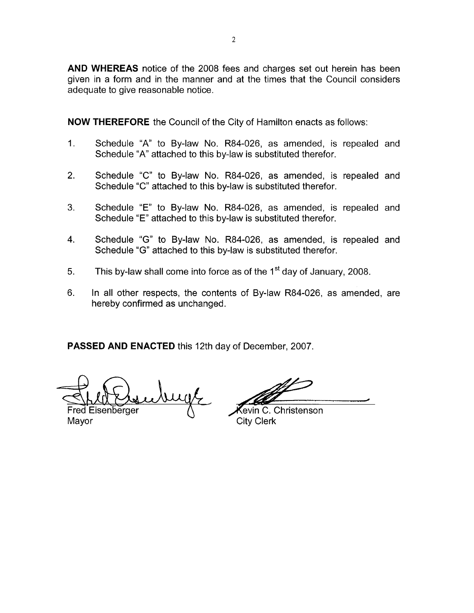**AND WHEREAS** notice of the 2008 fees and charges set out herein has been given in a form and in the manner and at the times that the Council considers adequate to give reasonable notice.

**NOW THEREFORE** the Council of the City of Hamilton enacts as follows:

- 1. Schedule "A" to By-law No. R84-026, as amended, is repealed and Schedule **"A"** attached to this by-law is substituted therefor.
- 2. Schedule "C" to By-law No. R84-026, as amended, is repealed and Schedule "C" attached to this by-law is substituted therefor.
- 3. Schedule "E" to By-law No. R84-026, as amended, is repealed and Schedule "E" attached to this by-law is substituted therefor.
- 4. Schedule "G" to By-law No. R84-026, as amended, is repealed and Schedule "G" attached to this by-law is substituted therefor.
- 5. This by-law shall come into force as of the  $1<sup>st</sup>$  day of January, 2008.
- 6. In all other respects, the contents of By-law R84-026, as amended, are hereby confirmed as unchanged.

**PASSED AND ENACTED** this 12th day of December, 2007.

ungl

Fred Eisenberger Mayor

evin C. Christenson City Clerk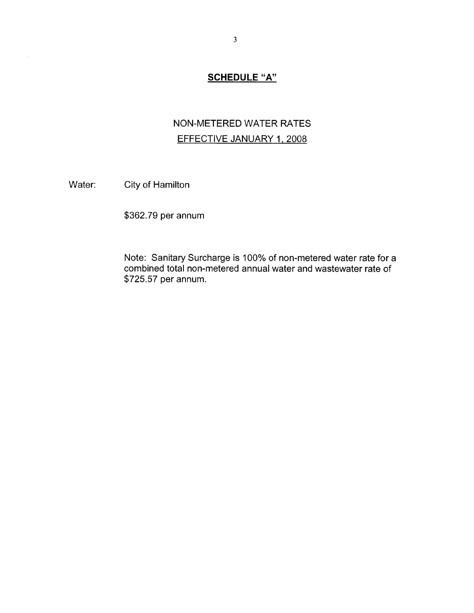#### **SCHEDULE "A"**

## NON-METERED WATER **RATES**  EFFECTIVE JANUARY 1, 2008

Water: City of Hamilton

 $\hat{\boldsymbol{\beta}}$ 

\$362.79 per annum

Note: Sanitary Surcharge is 100% of non-metered water rate for a combined total non-metered annual water and wastewater rate of \$725.57 per annum.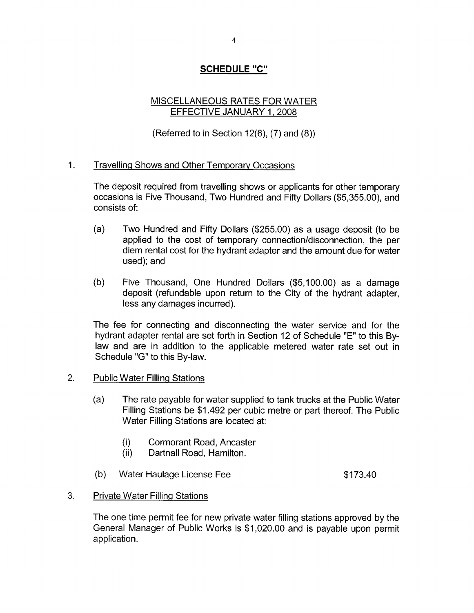## **SCHEDULE "C"**

## MISCELLANEOUS RATES FOR WATER EFFECTIVE JANUARY 1,2008

(Referred to in Section 12(6), (7) and (8))

## 1. Travelling Shows and Other Temporaw Occasions

The deposit required from travelling shows or applicants for other temporary occasions is Five Thousand, Two Hundred and Fifty Dollars (\$5,355.00), and consists of:

- (a) Two Hundred and Fifty Dollars (\$255.00) as a usage deposit (to be applied to the cost of temporary connection/disconnection, the per diem rental cost for the hydrant adapter and the amount due for water used); and
- (b) Five Thousand, One Hundred Dollars (\$5,100.00) as a damage deposit (refundable upon return to the City of the hydrant adapter, less any damages incurred).

The fee for connecting and disconnecting the water service and for the hydrant adapter rental are set forth in Section 12 of Schedule "E" to this Bylaw and are in addition to the applicable metered water rate set out in Schedule *"G"* to this By-law.

- 2. Public Water Filling Stations
	- (a) The rate payable for water supplied to tank trucks at the Public Water Filling Stations be \$1.492 per cubic metre or part thereof. The Public Water Filling Stations are located at:
		- (i) Cormorant Road, Ancaster
		- (ii) Dartnall Road, Hamilton.
	- (b) Water Haulage License Fee  $$173.40$
- 3. Private Water Filling Stations

The one time permit fee for new private water filling stations approved by the General Manager of Public Works is \$1,020.00 and is payable upon permit application.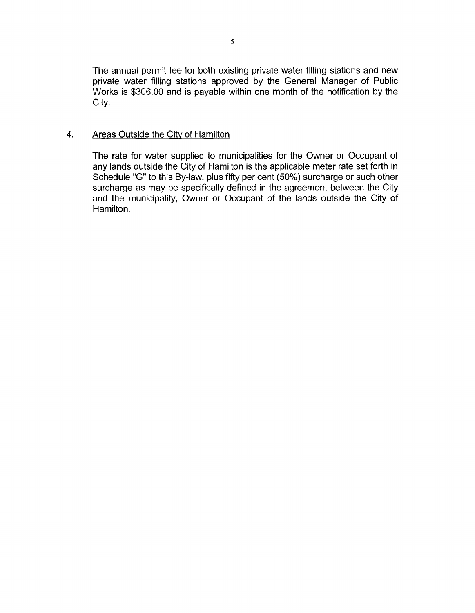The annual permit fee for both existing private water filling stations and new private water filling stations approved by the General Manager of Public Works is \$306.00 and is payable within one month of the notification by the City.

#### **4.** Areas Outside the Citv of Hamilton

The rate for water supplied to municipalities for the Owner or Occupant of any lands outside the City of Hamilton is the applicable meter rate set forth in Schedule "G" to this By-law, plus fifty per cent (50%) surcharge or such other surcharge as may be specifically defined in the agreement between the City and the municipality, Owner or Occupant of the lands outside the City of Hamilton.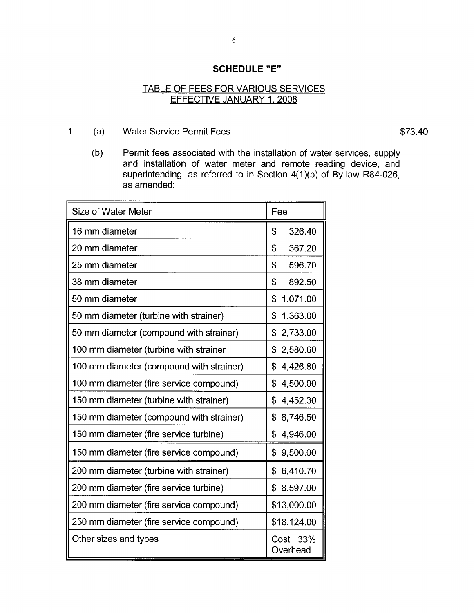#### **SCHEDULE "E"**

#### TABLE OF FEES FOR VARIOUS SERVICES EFFECTIVE JANUARY 1, 2008

1. (a) Water Service Permit Fees \$73.40

(b) Permit fees associated with the installation of water services, supply and installation of water meter and remote reading device, and superintending, as referred to in Section  $4(1)(b)$  of By-law R84-026, as amended:

| Size of Water Meter                      | Fee                   |
|------------------------------------------|-----------------------|
| 16 mm diameter                           | \$<br>326.40          |
| 20 mm diameter                           | \$<br>367.20          |
| 25 mm diameter                           | \$<br>596.70          |
| 38 mm diameter                           | \$<br>892.50          |
| 50 mm diameter                           | \$<br>1,071.00        |
| 50 mm diameter (turbine with strainer)   | \$<br>1,363.00        |
| 50 mm diameter (compound with strainer)  | 2,733.00<br>\$        |
| 100 mm diameter (turbine with strainer   | \$<br>2,580.60        |
| 100 mm diameter (compound with strainer) | \$<br>4,426.80        |
| 100 mm diameter (fire service compound)  | \$<br>4,500.00        |
| 150 mm diameter (turbine with strainer)  | \$<br>4,452.30        |
| 150 mm diameter (compound with strainer) | \$<br>8,746.50        |
| 150 mm diameter (fire service turbine)   | \$<br>4,946.00        |
| 150 mm diameter (fire service compound)  | \$<br>9,500.00        |
| 200 mm diameter (turbine with strainer)  | 6,410.70<br>\$        |
| 200 mm diameter (fire service turbine)   | \$<br>8,597.00        |
| 200 mm diameter (fire service compound)  | \$13,000.00           |
| 250 mm diameter (fire service compound)  | \$18,124.00           |
| Other sizes and types                    | Cost+ 33%<br>Overhead |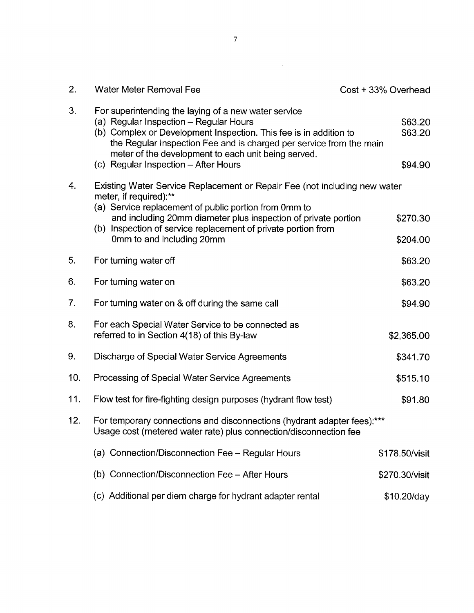| 2.  | <b>Water Meter Removal Fee</b>                                                                                                                                                                                                                                                                                                            | Cost + 33% Overhead           |
|-----|-------------------------------------------------------------------------------------------------------------------------------------------------------------------------------------------------------------------------------------------------------------------------------------------------------------------------------------------|-------------------------------|
| 3.  | For superintending the laying of a new water service<br>(a) Regular Inspection – Regular Hours<br>(b) Complex or Development Inspection. This fee is in addition to<br>the Regular Inspection Fee and is charged per service from the main<br>meter of the development to each unit being served.<br>(c) Regular Inspection - After Hours | \$63.20<br>\$63.20<br>\$94.90 |
| 4.  | Existing Water Service Replacement or Repair Fee (not including new water                                                                                                                                                                                                                                                                 |                               |
|     | meter, if required):**<br>(a) Service replacement of public portion from 0mm to<br>and including 20mm diameter plus inspection of private portion<br>(b) Inspection of service replacement of private portion from<br>0mm to and including 20mm                                                                                           | \$270.30<br>\$204.00          |
| 5.  | For turning water off                                                                                                                                                                                                                                                                                                                     | \$63.20                       |
| 6.  | For turning water on                                                                                                                                                                                                                                                                                                                      | \$63.20                       |
| 7.  | For turning water on & off during the same call                                                                                                                                                                                                                                                                                           | \$94.90                       |
| 8.  | For each Special Water Service to be connected as<br>referred to in Section 4(18) of this By-law                                                                                                                                                                                                                                          | \$2,365.00                    |
| 9.  | Discharge of Special Water Service Agreements                                                                                                                                                                                                                                                                                             | \$341.70                      |
| 10. | Processing of Special Water Service Agreements                                                                                                                                                                                                                                                                                            | \$515.10                      |
| 11. | Flow test for fire-fighting design purposes (hydrant flow test)                                                                                                                                                                                                                                                                           | \$91.80                       |
| 12. | For temporary connections and disconnections (hydrant adapter fees):***<br>Usage cost (metered water rate) plus connection/disconnection fee                                                                                                                                                                                              |                               |
|     | (a) Connection/Disconnection Fee - Regular Hours                                                                                                                                                                                                                                                                                          | \$178.50/visit                |
|     | (b) Connection/Disconnection Fee - After Hours                                                                                                                                                                                                                                                                                            | \$270.30/visit                |
|     | (c) Additional per diem charge for hydrant adapter rental                                                                                                                                                                                                                                                                                 | \$10.20/day                   |

 $\label{eq:2.1} \frac{1}{\sqrt{2}}\int_{\mathbb{R}^3}\frac{1}{\sqrt{2}}\left(\frac{1}{\sqrt{2}}\right)^2\frac{1}{\sqrt{2}}\left(\frac{1}{\sqrt{2}}\right)^2\frac{1}{\sqrt{2}}\left(\frac{1}{\sqrt{2}}\right)^2\frac{1}{\sqrt{2}}\left(\frac{1}{\sqrt{2}}\right)^2.$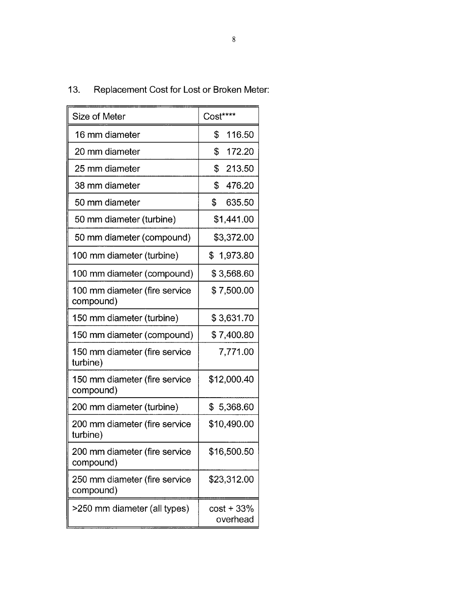| Size of Meter                              | Cost****                 |
|--------------------------------------------|--------------------------|
| 16 mm diameter                             | \$<br>116.50             |
| 20 mm diameter                             | \$<br>172.20             |
| 25 mm diameter                             | \$<br>213.50             |
| 38 mm diameter                             | \$<br>476.20             |
| 50 mm diameter                             | \$<br>635.50             |
| 50 mm diameter (turbine)                   | \$1,441.00               |
| 50 mm diameter (compound)                  | \$3,372.00               |
| 100 mm diameter (turbine)                  | \$<br>1,973.80           |
| 100 mm diameter (compound)                 | \$3,568.60               |
| 100 mm diameter (fire service<br>compound) | \$7,500.00               |
| 150 mm diameter (turbine)                  | \$3,631.70               |
| 150 mm diameter (compound)                 | \$7,400.80               |
| 150 mm diameter (fire service<br>turbine)  | 7,771.00                 |
| 150 mm diameter (fire service<br>compound) | \$12,000.40              |
| 200 mm diameter (turbine)                  | \$<br>5,368.60           |
| 200 mm diameter (fire service<br>turbine)  | \$10,490.00              |
| 200 mm diameter (fire service<br>compound) | \$16,500.50              |
| 250 mm diameter (fire service<br>compound) | \$23,312.00              |
| >250 mm diameter (all types)               | $cost + 33%$<br>overhead |

# 13. Replacement Cost for Lost or Broken Meter: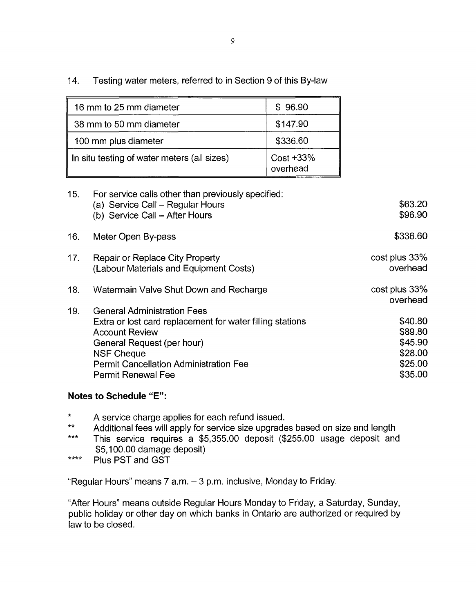14. Testing water meters, referred to in Section 9 of this By-law

| 16 mm to 25 mm diameter                     | \$96.90                  |
|---------------------------------------------|--------------------------|
| 38 mm to 50 mm diameter                     | \$147.90                 |
| 100 mm plus diameter                        | \$336.60                 |
| In situ testing of water meters (all sizes) | $Cost + 33%$<br>overhead |

| 15. | For service calls other than previously specified:<br>(a) Service Call – Regular Hours<br>(b) Service Call - After Hours                                                                                                                                  | \$63.20<br>\$96.90                                             |
|-----|-----------------------------------------------------------------------------------------------------------------------------------------------------------------------------------------------------------------------------------------------------------|----------------------------------------------------------------|
| 16. | Meter Open By-pass                                                                                                                                                                                                                                        | \$336.60                                                       |
| 17. | <b>Repair or Replace City Property</b><br>(Labour Materials and Equipment Costs)                                                                                                                                                                          | cost plus 33%<br>overhead                                      |
| 18. | Watermain Valve Shut Down and Recharge                                                                                                                                                                                                                    | cost plus 33%<br>overhead                                      |
| 19. | <b>General Administration Fees</b><br>Extra or lost card replacement for water filling stations<br><b>Account Review</b><br>General Request (per hour)<br><b>NSF Cheque</b><br><b>Permit Cancellation Administration Fee</b><br><b>Permit Renewal Fee</b> | \$40.80<br>\$89.80<br>\$45.90<br>\$28.00<br>\$25.00<br>\$35.00 |

## **Notes to Schedule "E":**

- \* \* A service charge applies for each refund issued.<br>\*\* Additional foce will apply for service size unared
- Additional fees will apply for service size upgrades based on size and length
- This service requires a \$5,355.00 deposit (\$255.00 usage deposit and \$5,100.00 damage deposit) \*\*\*
- Plus PST and GST \*\*\*\*

"Regular Hours" means  $7$  a.m.  $-3$  p.m. inclusive, Monday to Friday.

"After Hours" means outside Regular Hours Monday to Friday, a Saturday, Sunday, public holiday or other day on which banks in Ontario are authorized or required by law to be closed.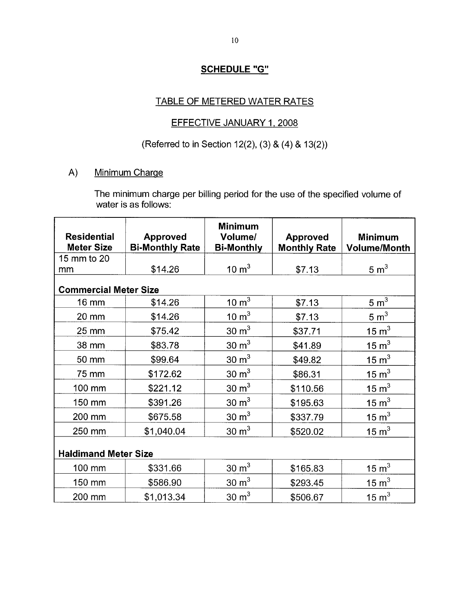## **SCHEDULE** *"G"*

## TABLE OF METERED WATER RATES

## EFFECTIVE JANUARY 1, 2008

## (Referred to in Section 12(2), (3) & (4) & 13(2))

#### A) Minimum Charqe

The minimum charge per billing period for the use of the specified volume of water is as follows:

| <b>Residential</b><br><b>Meter Size</b> | <b>Approved</b><br><b>Bi-Monthly Rate</b> | <b>Minimum</b><br>Volume/<br><b>Bi-Monthly</b> | <b>Approved</b><br><b>Monthly Rate</b> | <b>Minimum</b><br><b>Volume/Month</b> |
|-----------------------------------------|-------------------------------------------|------------------------------------------------|----------------------------------------|---------------------------------------|
| 15 mm to 20                             |                                           |                                                |                                        |                                       |
| mm                                      | \$14.26                                   | $10 \text{ m}^3$                               | \$7.13                                 | 5 m <sup>3</sup>                      |
| <b>Commercial Meter Size</b>            |                                           |                                                |                                        |                                       |
| 16 mm                                   | \$14.26                                   | $\frac{10}{\text{m}^3}$                        | \$7.13                                 | 5 m <sup>3</sup>                      |
| 20 mm                                   | \$14.26                                   | $10 \text{ m}^3$                               | \$7.13                                 | 5 m <sup>3</sup>                      |
| 25 mm                                   | \$75.42                                   | $30 \text{ m}^3$                               | \$37.71                                | $15 \text{ m}^3$                      |
| 38 mm                                   | \$83.78                                   | $30 \text{ m}^3$                               | \$41.89                                | 15 m <sup>3</sup>                     |
| 50 mm                                   | \$99.64                                   | $30 \text{ m}^3$                               | \$49.82                                | 15 m <sup>3</sup>                     |
| 75 mm                                   | \$172.62                                  | $30 \text{ m}^3$                               | \$86.31                                | 15 m <sup>3</sup>                     |
| 100 mm                                  | \$221.12                                  | $30 \text{ m}^3$                               | \$110.56                               | 15 m <sup>3</sup>                     |
| 150 mm                                  | \$391.26                                  | $30 \text{ m}^3$                               | \$195.63                               | $15 \text{ m}^3$                      |
| 200 mm                                  | \$675.58                                  | $30 \text{ m}^3$                               | \$337.79                               | 15 m <sup>3</sup>                     |
| 250 mm                                  | \$1,040.04                                | $30 \text{ m}^3$                               | \$520.02                               | $15 \text{ m}^3$                      |
| <b>Haldimand Meter Size</b>             |                                           |                                                |                                        |                                       |
| 100 mm                                  | \$331.66                                  | $30 \text{ m}^3$                               | \$165.83                               | 15 $m3$                               |
| 150 mm                                  | \$586.90                                  | $30 \text{ m}^3$                               | \$293.45                               | 15 m <sup>3</sup>                     |
| 200 mm                                  | \$1,013.34                                | $30 \text{ m}^3$                               | \$506.67                               | 15 $m3$                               |